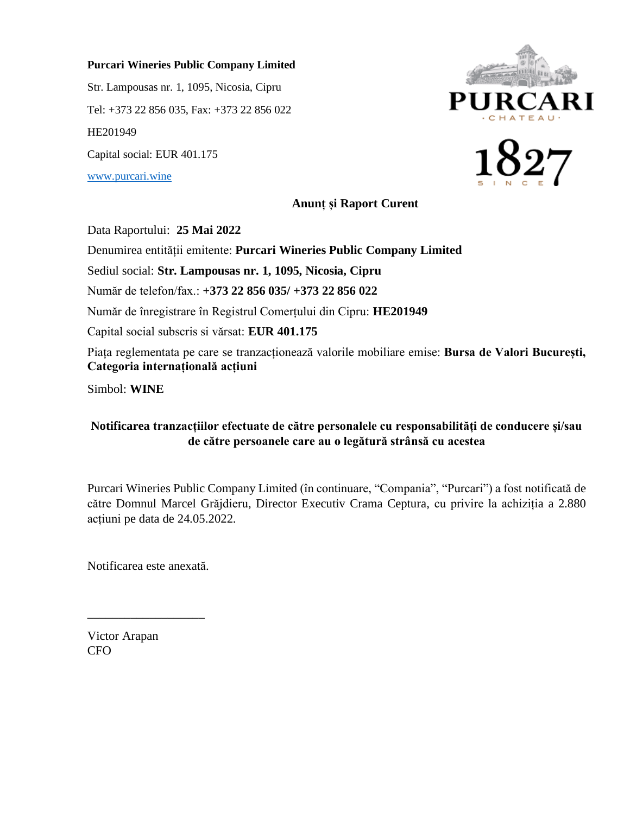## **Purcari Wineries Public Company Limited**

Str. Lampousas nr. 1, 1095, Nicosia, Cipru Tel: +373 22 856 035, Fax: +373 22 856 022 HE201949 Capital social: EUR 401.175 [www.purcari.wine](http://www.purcari.wine/)





**Anunț și Raport Curent**

Data Raportului: **25 Mai 2022**

Denumirea entității emitente: **Purcari Wineries Public Company Limited**

Sediul social: **Str. Lampousas nr. 1, 1095, Nicosia, Cipru**

Număr de telefon/fax.: **+373 22 856 035/ +373 22 856 022**

Număr de înregistrare în Registrul Comerțului din Cipru: **HE201949**

Capital social subscris si vărsat: **EUR 401.175**

Piața reglementata pe care se tranzacționează valorile mobiliare emise: **Bursa de Valori București, Categoria internațională acțiuni**

Simbol: **WINE**

## **Notificarea tranzacțiilor efectuate de către personalele cu responsabilități de conducere și/sau de către persoanele care au o legătură strânsă cu acestea**

Purcari Wineries Public Company Limited (în continuare, "Compania", "Purcari") a fost notificată de către Domnul Marcel Grăjdieru, Director Executiv Crama Ceptura, cu privire la achiziția a 2.880 acțiuni pe data de 24.05.2022.

Notificarea este anexată.

\_\_\_\_\_\_\_\_\_\_\_\_\_\_\_\_\_\_\_

Victor Arapan CFO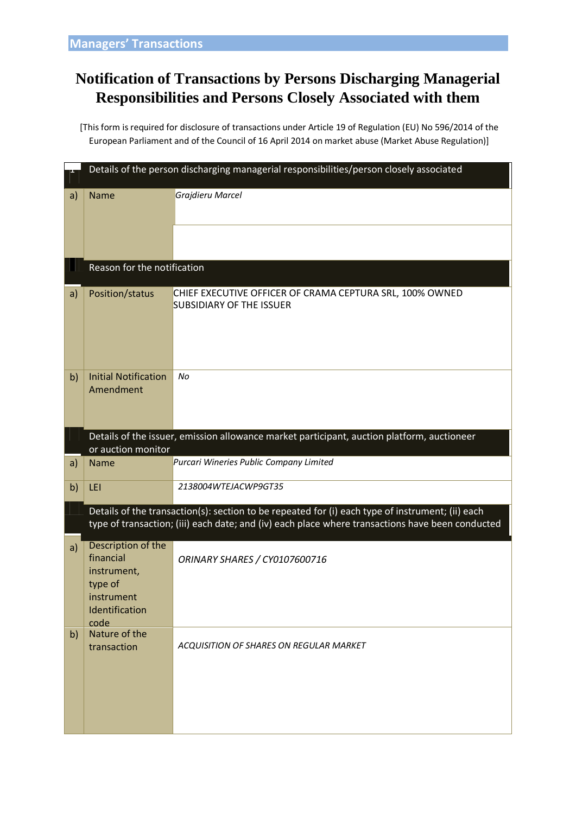## **Notification of Transactions by Persons Discharging Managerial Responsibilities and Persons Closely Associated with them**

[This form is required for disclosure of transactions under Article 19 of Regulation (EU) No 596/2014 of the European Parliament and of the Council of 16 April 2014 on market abuse (Market Abuse Regulation)]

|    | Details of the person discharging managerial responsibilities/person closely associated                                                                                                              |                                                                                             |  |  |  |  |  |
|----|------------------------------------------------------------------------------------------------------------------------------------------------------------------------------------------------------|---------------------------------------------------------------------------------------------|--|--|--|--|--|
| a) | <b>Name</b>                                                                                                                                                                                          | Grajdieru Marcel                                                                            |  |  |  |  |  |
|    | Reason for the notification                                                                                                                                                                          |                                                                                             |  |  |  |  |  |
| a) | Position/status                                                                                                                                                                                      | CHIEF EXECUTIVE OFFICER OF CRAMA CEPTURA SRL, 100% OWNED<br><b>SUBSIDIARY OF THE ISSUER</b> |  |  |  |  |  |
| b) | <b>Initial Notification</b><br>Amendment                                                                                                                                                             | No                                                                                          |  |  |  |  |  |
|    | Details of the issuer, emission allowance market participant, auction platform, auctioneer<br>or auction monitor                                                                                     |                                                                                             |  |  |  |  |  |
| a) | <b>Name</b>                                                                                                                                                                                          | Purcari Wineries Public Company Limited                                                     |  |  |  |  |  |
| b) | LEI                                                                                                                                                                                                  | 2138004WTEJACWP9GT35                                                                        |  |  |  |  |  |
|    | Details of the transaction(s): section to be repeated for (i) each type of instrument; (ii) each<br>type of transaction; (iii) each date; and (iv) each place where transactions have been conducted |                                                                                             |  |  |  |  |  |
| a) | Description of the<br>financial<br>instrument,<br>type of<br>instrument<br>Identification<br>code                                                                                                    | ORINARY SHARES / CY0107600716                                                               |  |  |  |  |  |
| b) | Nature of the<br>transaction                                                                                                                                                                         | ACQUISITION OF SHARES ON REGULAR MARKET                                                     |  |  |  |  |  |